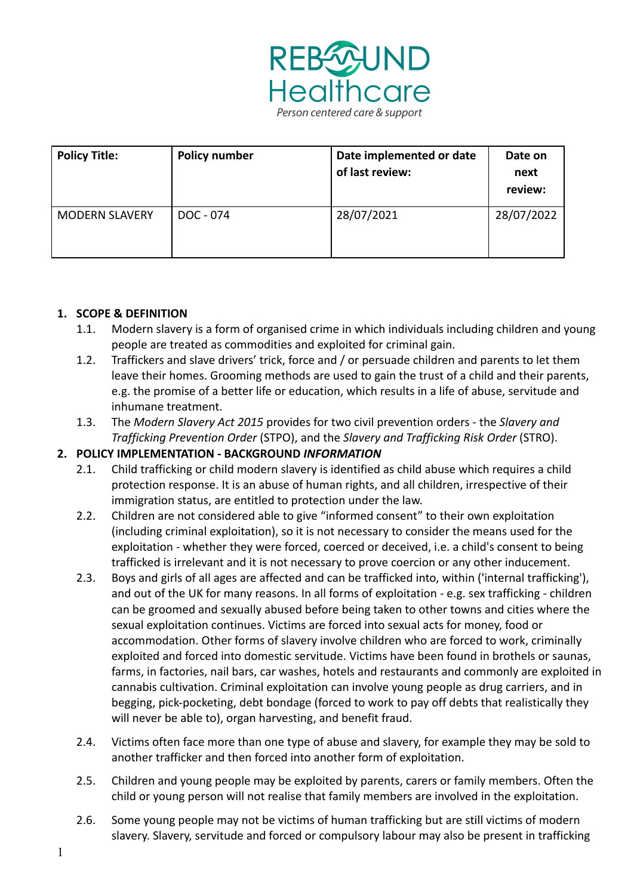

| <b>Policy Title:</b>  | <b>Policy number</b> | Date implemented or date<br>of last review: | Date on<br>next<br>review: |
|-----------------------|----------------------|---------------------------------------------|----------------------------|
| <b>MODERN SLAVERY</b> | DOC - 074            | 28/07/2021                                  | 28/07/2022                 |

## **1. SCOPE & DEFINITION**

- 1.1. Modern slavery is a form of organised crime in which individuals including children and young people are treated as commodities and exploited for criminal gain.
- 1.2. Traffickers and slave drivers' trick, force and / or persuade children and parents to let them leave their homes. Grooming methods are used to gain the trust of a child and their parents, e.g. the promise of a better life or education, which results in a life of abuse, servitude and inhumane treatment.
- 1.3. The *Modern Slavery Act 2015* provides for two civil prevention orders the *Slavery and Trafficking Prevention Order* (STPO), and the *Slavery and Trafficking Risk Order* (STRO).

#### **2. POLICY IMPLEMENTATION - BACKGROUND** *INFORMATION*

- 2.1. Child trafficking or child modern slavery is identified as child abuse which requires a child protection response. It is an abuse of human rights, and all children, irrespective of their immigration status, are entitled to protection under the law.
- 2.2. Children are not considered able to give "informed consent" to their own exploitation (including criminal exploitation), so it is not necessary to consider the means used for the exploitation - whether they were forced, coerced or deceived, i.e. a child's consent to being trafficked is irrelevant and it is not necessary to prove coercion or any other inducement.
- 2.3. Boys and girls of all ages are affected and can be trafficked into, within ('internal trafficking'), and out of the UK for many reasons. In all forms of exploitation - e.g. sex trafficking - children can be groomed and sexually abused before being taken to other towns and cities where the sexual exploitation continues. Victims are forced into sexual acts for money, food or accommodation. Other forms of slavery involve children who are forced to work, criminally exploited and forced into domestic servitude. Victims have been found in brothels or saunas, farms, in factories, nail bars, car washes, hotels and restaurants and commonly are exploited in cannabis cultivation. Criminal exploitation can involve young people as drug carriers, and in begging, pick-pocketing, debt bondage (forced to work to pay off debts that realistically they will never be able to), organ harvesting, and benefit fraud.
- 2.4. Victims often face more than one type of abuse and slavery, for example they may be sold to another trafficker and then forced into another form of exploitation.
- 2.5. Children and young people may be exploited by parents, carers or family members. Often the child or young person will not realise that family members are involved in the exploitation.
- 2.6. Some young people may not be victims of human trafficking but are still victims of modern slavery. Slavery, servitude and forced or compulsory labour may also be present in trafficking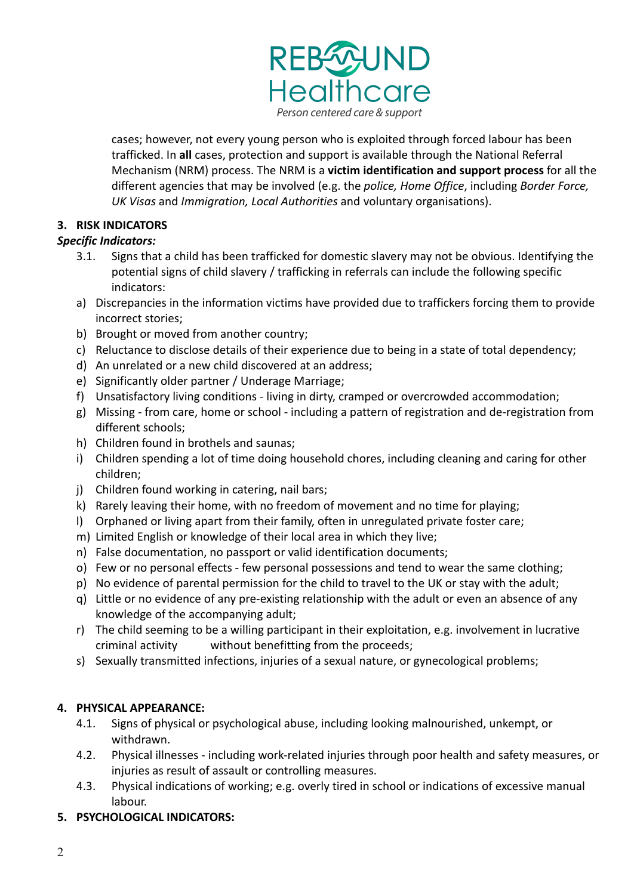

cases; however, not every young person who is exploited through forced labour has been trafficked. In **all** cases, protection and support is available through the National Referral Mechanism (NRM) process. The NRM is a **victim identification and support process** for all the different agencies that may be involved (e.g. the *police, Home Office*, including *Border Force, UK Visas* and *Immigration, Local Authorities* and voluntary organisations).

# **3. RISK INDICATORS**

## *Specific Indicators:*

- 3.1. Signs that a child has been trafficked for domestic slavery may not be obvious. Identifying the potential signs of child slavery / trafficking in referrals can include the following specific indicators:
- a) Discrepancies in the information victims have provided due to traffickers forcing them to provide incorrect stories;
- b) Brought or moved from another country;
- c) Reluctance to disclose details of their experience due to being in a state of total dependency;
- d) An unrelated or a new child discovered at an address;
- e) Significantly older partner / Underage Marriage;
- f) Unsatisfactory living conditions living in dirty, cramped or overcrowded accommodation;
- g) Missing from care, home or school including a pattern of registration and de-registration from different schools;
- h) Children found in brothels and saunas;
- i) Children spending a lot of time doing household chores, including cleaning and caring for other children;
- j) Children found working in catering, nail bars;
- k) Rarely leaving their home, with no freedom of movement and no time for playing;
- l) Orphaned or living apart from their family, often in unregulated private foster care;
- m) Limited English or knowledge of their local area in which they live;
- n) False documentation, no passport or valid identification documents;
- o) Few or no personal effects few personal possessions and tend to wear the same clothing;
- p) No evidence of parental permission for the child to travel to the UK or stay with the adult;
- q) Little or no evidence of any pre-existing relationship with the adult or even an absence of any knowledge of the accompanying adult;
- r) The child seeming to be a willing participant in their exploitation, e.g. involvement in lucrative criminal activity without benefitting from the proceeds;
- s) Sexually transmitted infections, injuries of a sexual nature, or gynecological problems;

## **4. PHYSICAL APPEARANCE:**

- 4.1. Signs of physical or psychological abuse, including looking malnourished, unkempt, or withdrawn.
- 4.2. Physical illnesses including work-related injuries through poor health and safety measures, or injuries as result of assault or controlling measures.
- 4.3. Physical indications of working; e.g. overly tired in school or indications of excessive manual labour.
- **5. PSYCHOLOGICAL INDICATORS:**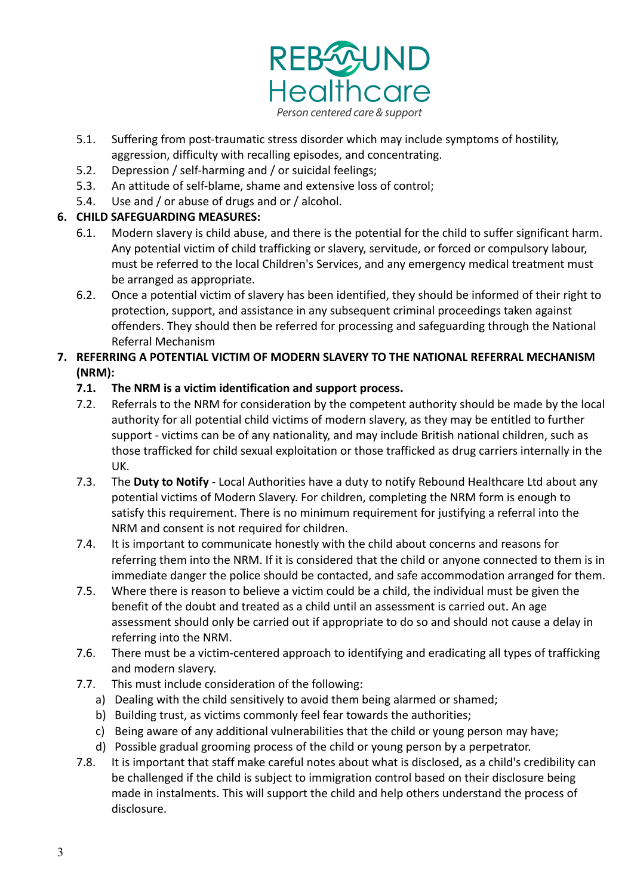

- 5.1. Suffering from post-traumatic stress disorder which may include symptoms of hostility, aggression, difficulty with recalling episodes, and concentrating.
- 5.2. Depression / self-harming and / or suicidal feelings;
- 5.3. An attitude of self-blame, shame and extensive loss of control;
- 5.4. Use and / or abuse of drugs and or / alcohol.

#### **6. CHILD SAFEGUARDING MEASURES:**

- 6.1. Modern slavery is child abuse, and there is the potential for the child to suffer significant harm. Any potential victim of child trafficking or slavery, servitude, or forced or compulsory labour, must be referred to the local Children's Services, and any emergency medical treatment must be arranged as appropriate.
- 6.2. Once a potential victim of slavery has been identified, they should be informed of their right to protection, support, and assistance in any subsequent criminal proceedings taken against offenders. They should then be referred for processing and safeguarding through the National Referral Mechanism

#### **7. REFERRING A POTENTIAL VICTIM OF MODERN SLAVERY TO THE NATIONAL REFERRAL MECHANISM (NRM):**

#### **7.1. The NRM is a victim identification and support process.**

- 7.2. Referrals to the NRM for consideration by the competent authority should be made by the local authority for all potential child victims of modern slavery, as they may be entitled to further support - victims can be of any nationality, and may include British national children, such as those trafficked for child sexual exploitation or those trafficked as drug carriers internally in the UK.
- 7.3. The **Duty to Notify** Local Authorities have a duty to notify Rebound Healthcare Ltd about any potential victims of Modern Slavery. For children, completing the NRM form is enough to satisfy this requirement. There is no minimum requirement for justifying a referral into the NRM and consent is not required for children.
- 7.4. It is important to communicate honestly with the child about concerns and reasons for referring them into the NRM. If it is considered that the child or anyone connected to them is in immediate danger the police should be contacted, and safe accommodation arranged for them.
- 7.5. Where there is reason to believe a victim could be a child, the individual must be given the benefit of the doubt and treated as a child until an assessment is carried out. An age assessment should only be carried out if appropriate to do so and should not cause a delay in referring into the NRM.
- 7.6. There must be a victim-centered approach to identifying and eradicating all types of trafficking and modern slavery.
- 7.7. This must include consideration of the following:
	- a) Dealing with the child sensitively to avoid them being alarmed or shamed;
	- b) Building trust, as victims commonly feel fear towards the authorities;
	- c) Being aware of any additional vulnerabilities that the child or young person may have;
	- d) Possible gradual grooming process of the child or young person by a perpetrator.
- 7.8. It is important that staff make careful notes about what is disclosed, as a child's credibility can be challenged if the child is subject to immigration control based on their disclosure being made in instalments. This will support the child and help others understand the process of disclosure.